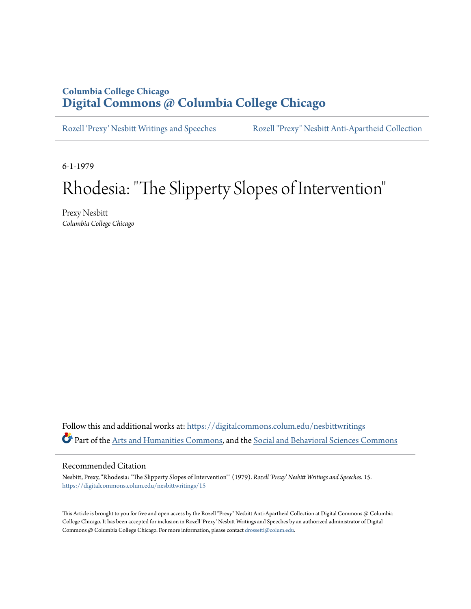## **Columbia College Chicago [Digital Commons @ Columbia College Chicago](https://digitalcommons.colum.edu?utm_source=digitalcommons.colum.edu%2Fnesbittwritings%2F15&utm_medium=PDF&utm_campaign=PDFCoverPages)**

[Rozell 'Prexy' Nesbitt Writings and Speeches](https://digitalcommons.colum.edu/nesbittwritings?utm_source=digitalcommons.colum.edu%2Fnesbittwritings%2F15&utm_medium=PDF&utm_campaign=PDFCoverPages) [Rozell "Prexy" Nesbitt Anti-Apartheid Collection](https://digitalcommons.colum.edu/nesbitt?utm_source=digitalcommons.colum.edu%2Fnesbittwritings%2F15&utm_medium=PDF&utm_campaign=PDFCoverPages)

6-1-1979

## Rhodesia: "The Slipperty Slopes of Intervention"

Prexy Nesbitt *Columbia College Chicago*

Follow this and additional works at: [https://digitalcommons.colum.edu/nesbittwritings](https://digitalcommons.colum.edu/nesbittwritings?utm_source=digitalcommons.colum.edu%2Fnesbittwritings%2F15&utm_medium=PDF&utm_campaign=PDFCoverPages) Part of the [Arts and Humanities Commons](http://network.bepress.com/hgg/discipline/438?utm_source=digitalcommons.colum.edu%2Fnesbittwritings%2F15&utm_medium=PDF&utm_campaign=PDFCoverPages), and the [Social and Behavioral Sciences Commons](http://network.bepress.com/hgg/discipline/316?utm_source=digitalcommons.colum.edu%2Fnesbittwritings%2F15&utm_medium=PDF&utm_campaign=PDFCoverPages)

## Recommended Citation

Nesbitt, Prexy, "Rhodesia: "The Slipperty Slopes of Intervention"" (1979). *Rozell 'Prexy' Nesbitt Writings and Speeches*. 15. [https://digitalcommons.colum.edu/nesbittwritings/15](https://digitalcommons.colum.edu/nesbittwritings/15?utm_source=digitalcommons.colum.edu%2Fnesbittwritings%2F15&utm_medium=PDF&utm_campaign=PDFCoverPages)

This Article is brought to you for free and open access by the Rozell "Prexy" Nesbitt Anti-Apartheid Collection at Digital Commons @ Columbia College Chicago. It has been accepted for inclusion in Rozell 'Prexy' Nesbitt Writings and Speeches by an authorized administrator of Digital Commons @ Columbia College Chicago. For more information, please contact [drossetti@colum.edu](mailto:drossetti@colum.edu).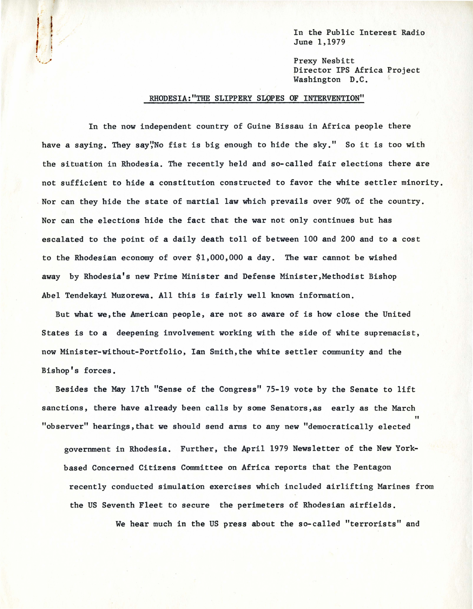In the Public Interest Radio June 1,1979

Prexy Nesbitt pirector IPS Africa Project Washington D.C.

## RHODESIA:"THE SLIPPERY SLOPES OF INTERVENTION"

;

In the now independent country of Guine Bissau in Africa people there have a saying. They say", No fist is big enough to hide the sky." So it is too with the situation in Rhodesia. The recently held and so-called fair elections there are not sufficient to hide a constitution constructed to favor the white settler minority. . Nor can they hide the state of martial law which prevails over 90% of the country. Nor can the elections hide the fact that the war not only continues but has escalated to the point of a daily death toll of between 100 and 200 and to a cost to the Rhodesian economy of over \$1,000,000 a day. The war cannot be wished away by Rhodesia's new Prime Minister and Defense Minister,Methodist Bishop Abel Tendekayi Muzorewa. All this is fairly well known information.

But what we,the American people, are not so aware of is how close the United States is to a deepening involvement working with the side of white supremacist, now Minister-without-Portfolio, Ian Smith,the white settler community and the Bishop's forces.

Besides the May 17th "Sense of the Congress" 75-19 vote by the Senate to lift sanctions, there have already been calls by some Senators,as early as the March "observer" hearings, that we should send arms to any new "democratically elected

government in Rhodesia. Further, the April 1979 Newsletter of the New Yorkbased Concerned Citizens Committee on Africa reports that the Pentagon recently conducted simulation exercises which included airlifting Marines from the US Seventh Fleet to secure the perimeters of Rhodesian airfields.

We hear much in the US press about the so-called "terrorists" and